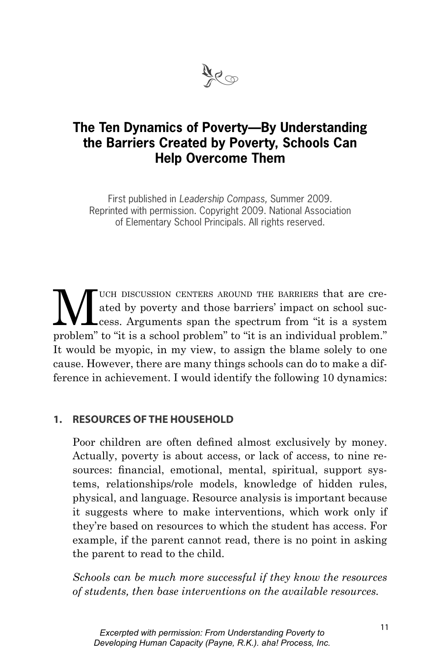

# **The Ten Dynamics of Poverty—By Understanding the Barriers Created by Poverty, Schools Can Help Overcome Them**

First published in Leadership Compass, Summer 2009. Reprinted with permission. Copyright 2009. National Association of Elementary School Principals. All rights reserved.

WE UCH DISCUSSION CENTERS AROUND THE BARRIERS that are cre-<br>ated by poverty and those barriers' impact on school suc-<br>cess. Arguments span the spectrum from "it is a system ated by poverty and those barriers' impact on school success. Arguments span the spectrum from "it is a system problem" to "it is a school problem" to "it is an individual problem." It would be myopic, in my view, to assign the blame solely to one cause. However, there are many things schools can do to make a difference in achievement. I would identify the following 10 dynamics:

### **1. RESOURCES OF THE HOUSEHOLD**

Poor children are often defined almost exclusively by money. Actually, poverty is about access, or lack of access, to nine resources: financial, emotional, mental, spiritual, support systems, relationships/role models, knowledge of hidden rules, physical, and language. Resource analysis is important because it suggests where to make interventions, which work only if they're based on resources to which the student has access. For example, if the parent cannot read, there is no point in asking the parent to read to the child.

*Schools can be much more successful if they know the resources of students, then base interventions on the available resources.*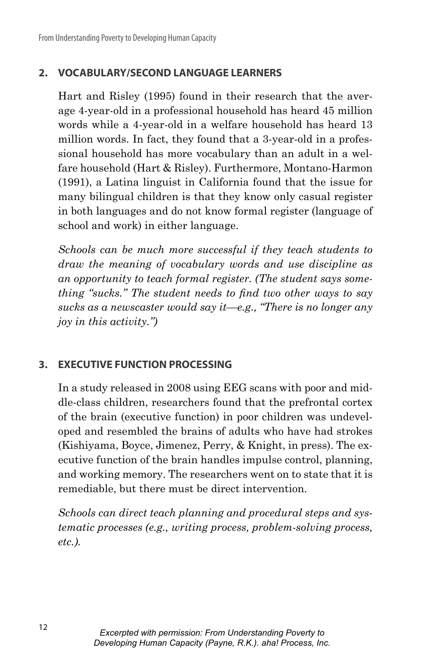# **2. VOCABULARY/SECOND LANGUAGE LEARNERS**

Hart and Risley (1995) found in their research that the average 4-year-old in a professional household has heard 45 million words while a 4-year-old in a welfare household has heard 13 million words. In fact, they found that a 3-year-old in a professional household has more vocabulary than an adult in a welfare household (Hart & Risley). Furthermore, Montano-Harmon (1991), a Latina linguist in California found that the issue for many bilingual children is that they know only casual register in both languages and do not know formal register (language of school and work) in either language.

*Schools can be much more successful if they teach students to draw the meaning of vocabulary words and use discipline as an opportunity to teach formal register. (The student says something "sucks." The student needs to find two other ways to say sucks as a newscaster would say it—e.g., "There is no longer any joy in this activity.")*

### **3. EXECUTIVE FUNCTION PROCESSING**

In a study released in 2008 using EEG scans with poor and middle-class children, researchers found that the prefrontal cortex of the brain (executive function) in poor children was undeveloped and resembled the brains of adults who have had strokes (Kishiyama, Boyce, Jimenez, Perry, & Knight, in press). The executive function of the brain handles impulse control, planning, and working memory. The researchers went on to state that it is remediable, but there must be direct intervention.

*Schools can direct teach planning and procedural steps and systematic processes (e.g., writing process, problem-solving process, etc.).*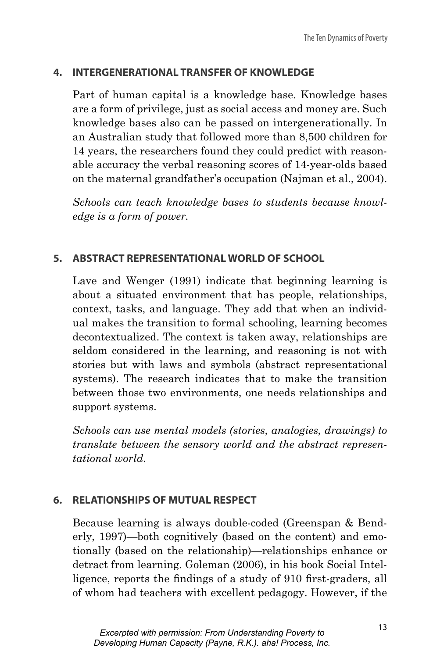### **4. INTERGENERATIONAL TRANSFER OF KNOWLEDGE**

Part of human capital is a knowledge base. Knowledge bases are a form of privilege, just as social access and money are. Such knowledge bases also can be passed on intergenerationally. In an Australian study that followed more than 8,500 children for 14 years, the researchers found they could predict with reasonable accuracy the verbal reasoning scores of 14-year-olds based on the maternal grandfather's occupation (Najman et al., 2004).

*Schools can teach knowledge bases to students because knowledge is a form of power.*

### **5. ABSTRACT REPRESENTATIONAL WORLD OF SCHOOL**

Lave and Wenger (1991) indicate that beginning learning is about a situated environment that has people, relationships, context, tasks, and language. They add that when an individual makes the transition to formal schooling, learning becomes decontextualized. The context is taken away, relationships are seldom considered in the learning, and reasoning is not with stories but with laws and symbols (abstract representational systems). The research indicates that to make the transition between those two environments, one needs relationships and support systems.

*Schools can use mental models (stories, analogies, drawings) to translate between the sensory world and the abstract representational world.* 

# **6. RELATIONSHIPS OF MUTUAL RESPECT**

Because learning is always double-coded (Greenspan & Benderly, 1997)—both cognitively (based on the content) and emotionally (based on the relationship)—relationships enhance or detract from learning. Goleman (2006), in his book Social Intelligence, reports the findings of a study of 910 first-graders, all of whom had teachers with excellent pedagogy. However, if the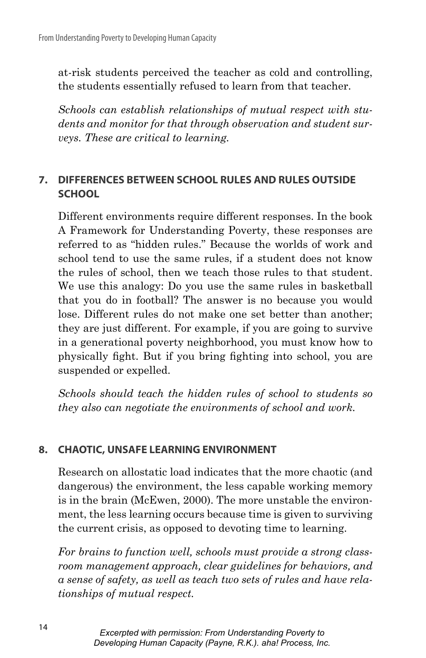at-risk students perceived the teacher as cold and controlling, the students essentially refused to learn from that teacher.

*Schools can establish relationships of mutual respect with students and monitor for that through observation and student surveys. These are critical to learning.*

# **7. DIFFERENCES BETWEEN SCHOOL RULES AND RULES OUTSIDE SCHOOL**

Different environments require different responses. In the book A Framework for Understanding Poverty, these responses are referred to as "hidden rules." Because the worlds of work and school tend to use the same rules, if a student does not know the rules of school, then we teach those rules to that student. We use this analogy: Do you use the same rules in basketball that you do in football? The answer is no because you would lose. Different rules do not make one set better than another; they are just different. For example, if you are going to survive in a generational poverty neighborhood, you must know how to physically fight. But if you bring fighting into school, you are suspended or expelled.

*Schools should teach the hidden rules of school to students so they also can negotiate the environments of school and work.*

# **8. CHAOTIC, UNSAFE LEARNING ENVIRONMENT**

Research on allostatic load indicates that the more chaotic (and dangerous) the environment, the less capable working memory is in the brain (McEwen, 2000). The more unstable the environment, the less learning occurs because time is given to surviving the current crisis, as opposed to devoting time to learning.

*For brains to function well, schools must provide a strong classroom management approach, clear guidelines for behaviors, and a sense of safety, as well as teach two sets of rules and have relationships of mutual respect.*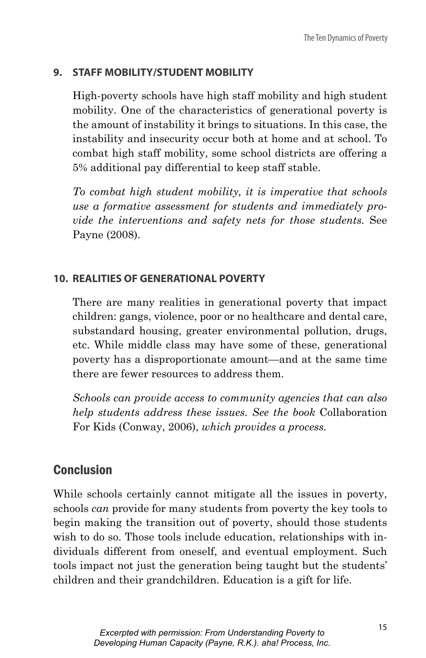# **9. STAFF MOBILITY/STUDENT MOBILITY**

High-poverty schools have high staff mobility and high student mobility. One of the characteristics of generational poverty is the amount of instability it brings to situations. In this case, the instability and insecurity occur both at home and at school. To combat high staff mobility, some school districts are offering a 5% additional pay differential to keep staff stable.

*To combat high student mobility, it is imperative that schools use a formative assessment for students and immediately provide the interventions and safety nets for those students.* See Payne (2008).

# **10. REALITIES OF GENERATIONAL POVERTY**

There are many realities in generational poverty that impact children: gangs, violence, poor or no healthcare and dental care, substandard housing, greater environmental pollution, drugs, etc. While middle class may have some of these, generational poverty has a disproportionate amount—and at the same time there are fewer resources to address them.

*Schools can provide access to community agencies that can also help students address these issues. See the book* Collaboration For Kids (Conway, 2006), *which provides a process.*

# Conclusion

While schools certainly cannot mitigate all the issues in poverty, schools *can* provide for many students from poverty the key tools to begin making the transition out of poverty, should those students wish to do so. Those tools include education, relationships with individuals different from oneself, and eventual employment. Such tools impact not just the generation being taught but the students' children and their grandchildren. Education is a gift for life.